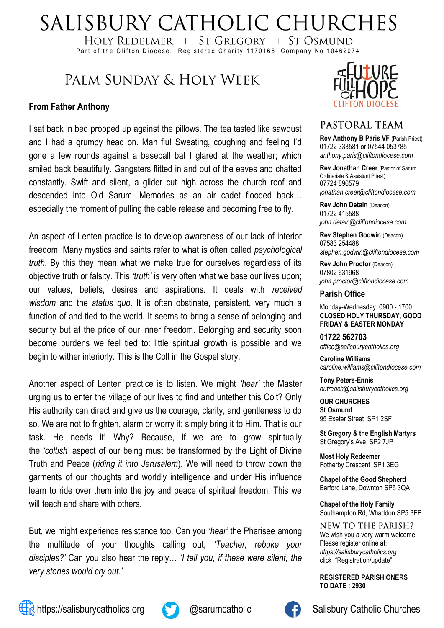# SALISBURY CATHOLIC CHURCHES

HOLY REDEEMER  $+$  ST GREGORY  $+$  ST OSMUND Part of the Clifton Diocese: Registered Charity 1170168 Company No 10462074

# PALM SUNDAY & HOLY WEEK

#### **From Father Anthony**

I sat back in bed propped up against the pillows. The tea tasted like sawdust and I had a grumpy head on. Man flu! Sweating, coughing and feeling I'd gone a few rounds against a baseball bat I glared at the weather; which smiled back beautifully. Gangsters flitted in and out of the eaves and chatted constantly. Swift and silent, a glider cut high across the church roof and descended into Old Sarum. Memories as an air cadet flooded back… especially the moment of pulling the cable release and becoming free to fly.

An aspect of Lenten practice is to develop awareness of our lack of interior freedom. Many mystics and saints refer to what is often called *psychological truth*. By this they mean what we make true for ourselves regardless of its objective truth or falsity. This *'truth'* is very often what we base our lives upon; our values, beliefs, desires and aspirations. It deals with *received wisdom* and the *status quo*. It is often obstinate, persistent, very much a function of and tied to the world. It seems to bring a sense of belonging and security but at the price of our inner freedom. Belonging and security soon become burdens we feel tied to: little spiritual growth is possible and we begin to wither interiorly. This is the Colt in the Gospel story.

Another aspect of Lenten practice is to listen. We might *'hear'* the Master urging us to enter the village of our lives to find and untether this Colt? Only His authority can direct and give us the courage, clarity, and gentleness to do so. We are not to frighten, alarm or worry it: simply bring it to Him. That is our task. He needs it! Why? Because, if we are to grow spiritually the *'coltish'* aspect of our being must be transformed by the Light of Divine Truth and Peace (*riding it into Jerusalem*). We will need to throw down the garments of our thoughts and worldly intelligence and under His influence learn to ride over them into the joy and peace of spiritual freedom. This we will teach and share with others.

But, we might experience resistance too. Can you *'hear'* the Pharisee among the multitude of your thoughts calling out, *'Teacher, rebuke your disciples?'* Can you also hear the reply… *'I tell you, if these were silent, the very stones would cry out.'*



#### PASTORAL TEAM

**Rev Anthony B Paris VF (Parish Priest)** 01722 333581 or 07544 053785 *anthony.paris@cliftondiocese.com*

**Rev Jonathan Creer** (Pastor of Sarum Ordinariate & Assistant Priest) 07724 896579 *jonathan.creer@cliftondiocese.com*

**Rev John Detain** (Deacon) 01722 415588 *john.detain@cliftondiocese.com*

**Rev Stephen Godwin** (Deacon) 07583 254488 *stephen.godwin@cliftondiocese.com*

**Rev John Proctor** (Deacon) 07802 631968 *john.proctor@cliftondiocese.com*

#### **Parish Office**

Monday-Wednesday 0900 - 1700 **CLOSED HOLY THURSDAY, GOOD FRIDAY & EASTER MONDAY**

**01722 562703** *office@salisburycatholics.org*

**Caroline Williams** *caroline.williams@cliftondiocese.com*

**Tony Peters-Ennis** *outreach@salisburycatholics.org*

**OUR CHURCHES St Osmund** 95 Exeter Street SP1 2SF

**St Gregory & the English Martyrs** St Gregory's Ave SP2 7JP

**Most Holy Redeemer**  Fotherby Crescent SP1 3EG

**Chapel of the Good Shepherd** Barford Lane, Downton SP5 3QA

**Chapel of the Holy Family** Southampton Rd, Whaddon SP5 3EB

NEW TO THE PARISH? We wish you a very warm welcome. Please register online at: *[https://salisburycatholics.org](https://p1.pamis.co.uk/salisbury/onlined01cab)*  [click "Registration/update"](https://p1.pamis.co.uk/salisbury/onlined01cab) 

**REGISTERED PARISHIONERS TO DATE : 2930**





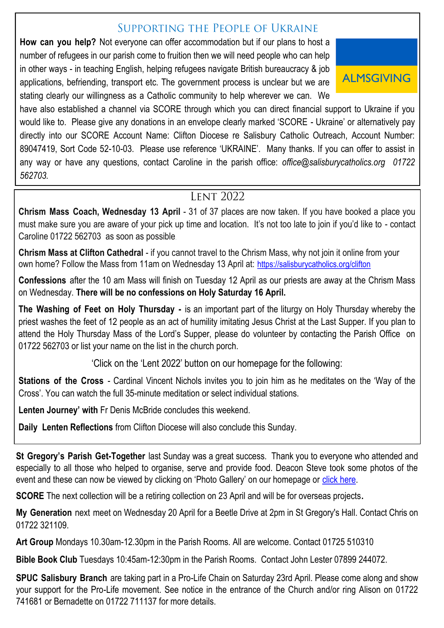### SUPPORTING THE PEOPLE OF UKRAINE

**How can you help?** Not everyone can offer accommodation but if our plans to host a number of refugees in our parish come to fruition then we will need people who can help in other ways - in teaching English, helping refugees navigate British bureaucracy & job applications, befriending, transport etc. The government process is unclear but we are stating clearly our willingness as a Catholic community to help wherever we can. We



have also established a channel via SCORE through which you can direct financial support to Ukraine if you would like to. Please give any donations in an envelope clearly marked 'SCORE - Ukraine' or alternatively pay directly into our SCORE Account Name: Clifton Diocese re Salisbury Catholic Outreach, Account Number: 89047419, Sort Code 52-10-03. Please use reference 'UKRAINE'. Many thanks. If you can offer to assist in any way or have any questions, contact Caroline in the parish office: *office@salisburycatholics.org 01722 562703.*

### **LENT 2022**

**Chrism Mass Coach, Wednesday 13 April** - 31 of 37 places are now taken. If you have booked a place you must make sure you are aware of your pick up time and location. It's not too late to join if you'd like to - contact Caroline 01722 562703 as soon as possible.

**Chrism Mass at Clifton Cathedral** - if you cannot travel to the Chrism Mass, why not join it online from your own home? Follow the Mass from 11am on Wednesday 13 April at: [https://salisburycatholics.org/clifton](https://eur02.safelinks.protection.outlook.com/?url=https%3A%2F%2Fsalisburycatholics.org%2Fclifton&data=04%7C01%7Ccaroline.williams%40cliftondiocese.com%7Ca1c67b65edd24dc9a8fe08da1958a488%7Cf10b8f13604e4fa29e1204a7fad22e94%7C0%7C0%7C637850165745329661%7CUnkno)

**Confessions** after the 10 am Mass will finish on Tuesday 12 April as our priests are away at the Chrism Mass on Wednesday. **There will be no confessions on Holy Saturday 16 April.** 

**The Washing of Feet on Holy Thursday -** is an important part of the liturgy on Holy Thursday whereby the priest washes the feet of 12 people as an act of humility imitating Jesus Christ at the Last Supper. If you plan to attend the Holy Thursday Mass of the Lord's Supper, please do volunteer by contacting the Parish Office on 01722 562703 or list your name on the list in the church porch.

'Click on the 'Lent 2022' button on our homepage for the following:

**Stations of the Cross** - Cardinal Vincent Nichols invites you to join him as he meditates on the 'Way of the Cross'. You can watch the full 35-minute meditation or select individual stations.

**Lenten Journey' with** Fr Denis McBride concludes this weekend.

**Daily Lenten Reflections** from Clifton Diocese will also conclude this Sunday.

**St Gregory's Parish Get-Together** last Sunday was a great success. Thank you to everyone who attended and especially to all those who helped to organise, serve and provide food. Deacon Steve took some photos of the event and these can now be viewed by clicking on 'Photo Gallery' on our homepage or [click here.](https://salisburycatholics.org/parish-get-together-3-april)

**SCORE** The next collection will be a retiring collection on 23 April and will be for overseas projects**.**

**My Generation** next meet on Wednesday 20 April for a Beetle Drive at 2pm in St Gregory's Hall. Contact Chris on 01722 321109.

**Art Group** Mondays 10.30am-12.30pm in the Parish Rooms. All are welcome. Contact 01725 510310

**Bible Book Club** Tuesdays 10:45am-12:30pm in the Parish Rooms. Contact John Lester 07899 244072.

**SPUC Salisbury Branch** are taking part in a Pro-Life Chain on Saturday 23rd April. Please come along and show your support for the Pro-Life movement. See notice in the entrance of the Church and/or ring Alison on 01722 741681 or Bernadette on 01722 711137 for more details.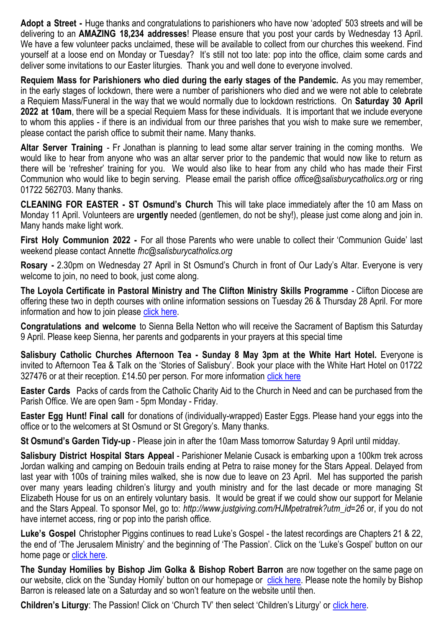**Adopt a Street -** Huge thanks and congratulations to parishioners who have now 'adopted' 503 streets and will be delivering to an **AMAZING 18,234 addresses**! Please ensure that you post your cards by Wednesday 13 April. We have a few volunteer packs unclaimed, these will be available to collect from our churches this weekend. Find yourself at a loose end on Monday or Tuesday? It's still not too late: pop into the office, claim some cards and deliver some invitations to our Easter liturgies. Thank you and well done to everyone involved.

**Requiem Mass for Parishioners who died during the early stages of the Pandemic.** As you may remember, in the early stages of lockdown, there were a number of parishioners who died and we were not able to celebrate a Requiem Mass/Funeral in the way that we would normally due to lockdown restrictions. On **Saturday 30 April 2022 at 10am**, there will be a special Requiem Mass for these individuals. It is important that we include everyone to whom this applies - if there is an individual from our three parishes that you wish to make sure we remember, please contact the parish office to submit their name. Many thanks.

**Altar Server Training** - Fr Jonathan is planning to lead some altar server training in the coming months. We would like to hear from anyone who was an altar server prior to the pandemic that would now like to return as there will be 'refresher' training for you. We would also like to hear from any child who has made their First Communion who would like to begin serving. Please email the parish office *office@salisburycatholics.org* or ring 01722 562703. Many thanks.

**CLEANING FOR EASTER - ST Osmund's Church** This will take place immediately after the 10 am Mass on Monday 11 April. Volunteers are **urgently** needed (gentlemen, do not be shy!), please just come along and join in. Many hands make light work.

**First Holy Communion 2022 -** For all those Parents who were unable to collect their 'Communion Guide' last weekend please contact Annette *fhc@salisburycatholics.org*

**Rosary -** 2.30pm on Wednesday 27 April in St Osmund's Church in front of Our Lady's Altar. Everyone is very welcome to join, no need to book, just come along.

**The Loyola Certificate in Pastoral Ministry and The Clifton Ministry Skills Programme** - Clifton Diocese are offering these two in depth courses with online information sessions on Tuesday 26 & Thursday 28 April. For more information and how to join please [click here.](https://salisburycatholics.org/blog/pastoral-ministry-information-evenings)

**Congratulations and welcome** to Sienna Bella Netton who will receive the Sacrament of Baptism this Saturday 9 April. Please keep Sienna, her parents and godparents in your prayers at this special time

**Salisbury Catholic Churches Afternoon Tea - Sunday 8 May 3pm at the White Hart Hotel.** Everyone is invited to Afternoon Tea & Talk on the 'Stories of Salisbury'. Book your place with the White Hart Hotel on 01722 327476 or at their reception. £14.50 per person. For more information [click here](https://salisburycatholics.org/blog/salisbury-catholic-churches-afternoon-tea)

**Easter Cards** Packs of cards from the Catholic Charity Aid to the Church in Need and can be purchased from the Parish Office. We are open 9am - 5pm Monday - Friday.

**Easter Egg Hunt! Final call** for donations of (individually-wrapped) Easter Eggs. Please hand your eggs into the office or to the welcomers at St Osmund or St Gregory's. Many thanks.

**St Osmund's Garden Tidy-up** - Please join in after the 10am Mass tomorrow Saturday 9 April until midday.

**Salisbury District Hospital Stars Appeal** - Parishioner Melanie Cusack is embarking upon a 100km trek across Jordan walking and camping on Bedouin trails ending at Petra to raise money for the Stars Appeal. Delayed from last year with 100s of training miles walked, she is now due to leave on 23 April. Mel has supported the parish over many years leading children's liturgy and youth ministry and for the last decade or more managing St Elizabeth House for us on an entirely voluntary basis. It would be great if we could show our support for Melanie and the Stars Appeal. To sponsor Mel, go to: *http://www.justgiving.com/HJMpetratrek?utm\_id=26* or, if you do not have internet access, ring or pop into the parish office.

**Luke's Gospel** Christopher Piggins continues to read Luke's Gospel - the latest recordings are Chapters 21 & 22, the end of 'The Jerusalem Ministry' and the beginning of 'The Passion'. Click on the 'Luke's Gospel' button on our home page or [click here.](https://salisburycatholics.org/lukes-gospel)

**The Sunday Homilies by Bishop Jim Golka & Bishop Robert Barron** are now together on the same page on our website, click on the 'Sunday Homily' button on our homepage or [click here.](https://salisburycatholics.org/sunday-homily) Please note the homily by Bishop Barron is released late on a Saturday and so won't feature on the website until then.

**Children's Liturgy**: The Passion! Click on 'Church TV' then select 'Children's Liturgy' or [click here.](https://salisburycatholics.org/childrens-liturgy)